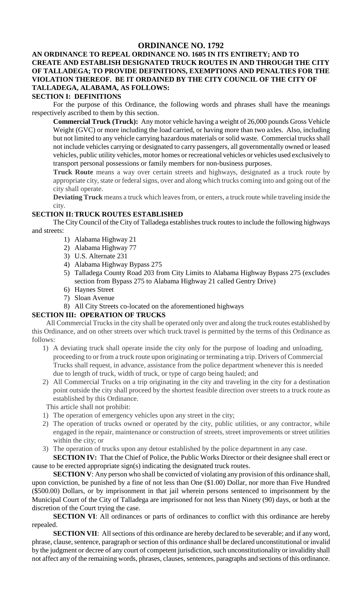# **ORDINANCE NO. 1792**

## **AN ORDINANCE TO REPEAL ORDINANCE NO. 1605 IN ITS ENTIRETY; AND TO CREATE AND ESTABLISH DESIGNATED TRUCK ROUTES IN AND THROUGH THE CITY OF TALLADEGA; TO PROVIDE DEFINITIONS, EXEMPTIONS AND PENALTIES FOR THE VIOLATION THEREOF. BE IT ORDAINED BY THE CITY COUNCIL OF THE CITY OF TALLADEGA, ALABAMA, AS FOLLOWS:**

#### **SECTION I: DEFINITIONS**

For the purpose of this Ordinance, the following words and phrases shall have the meanings respectively ascribed to them by this section.

**Commercial Truck (Truck):** Any motor vehicle having a weight of 26,000 pounds Gross Vehicle Weight (GVC) or more including the load carried, or having more than two axles. Also, including but not limited to any vehicle carrying hazardous materials or solid waste. Commercial trucks shall not include vehicles carrying or designated to carry passengers, all governmentally owned or leased vehicles, public utility vehicles, motor homes or recreational vehicles or vehicles used exclusively to transport personal possessions or family members for non-business purposes.

**Truck Route** means a way over certain streets and highways, designated as a truck route by appropriate city, state or federal signs, over and along which trucks coming into and going out of the city shall operate.

**Deviating Truck** means a truck which leaves from, or enters, a truck route while traveling inside the city.

### **SECTION II:TRUCK ROUTES ESTABLISHED**

The City Council of the City of Talladega establishes truck routes to include the following highways and streets:

- 1) Alabama Highway 21
- 2) Alabama Highway 77
- 3) U.S. Alternate 231
- 4) Alabama Highway Bypass 275
- 5) Talladega County Road 203 from City Limits to Alabama Highway Bypass 275 (excludes section from Bypass 275 to Alabama Highway 21 called Gentry Drive)
- 6) Haynes Street
- 7) Sloan Avenue
- 8) All City Streets co-located on the aforementioned highways

### **SECTION III: OPERATION OF TRUCKS**

All Commercial Trucks in the city shall be operated only over and along the truck routes established by this Ordinance, and on other streets over which truck travel is permitted by the terms of this Ordinance as follows:

- 1) A deviating truck shall operate inside the city only for the purpose of loading and unloading, proceeding to or from a truck route upon originating or terminating a trip. Drivers of Commercial Trucks shall request, in advance, assistance from the police department whenever this is needed due to length of truck, width of truck, or type of cargo being hauled; and
- 2) All Commercial Trucks on a trip originating in the city and traveling in the city for a destination point outside the city shall proceed by the shortest feasible direction over streets to a truck route as established by this Ordinance.

This article shall not prohibit:

- 1) The operation of emergency vehicles upon any street in the city;
- 2) The operation of trucks owned or operated by the city, public utilities, or any contractor, while engaged in the repair, maintenance or construction of streets, street improvements or street utilities within the city; or
- 3) The operation of trucks upon any detour established by the police department in any case.

**SECTION IV:** That the Chief of Police, the Public Works Director or their designee shall erect or cause to be erected appropriate sign(s) indicating the designated truck routes.

**SECTION V**: Any person who shall be convicted of violating any provision of this ordinance shall, upon conviction, be punished by a fine of not less than One (\$1.00) Dollar, nor more than Five Hundred (\$500.00) Dollars, or by imprisonment in that jail wherein persons sentenced to imprisonment by the Municipal Court of the City of Talladega are imprisoned for not less than Ninety (90) days, or both at the discretion of the Court trying the case.

**SECTION VI**: All ordinances or parts of ordinances to conflict with this ordinance are hereby repealed.

**SECTION VII**: All sections of this ordinance are hereby declared to be severable; and if any word, phrase, clause, sentence, paragraph or section of this ordinance shall be declared unconstitutional or invalid by the judgment or decree of any court of competent jurisdiction, such unconstitutionality or invalidity shall not affect any of the remaining words, phrases, clauses, sentences, paragraphs and sections of this ordinance.